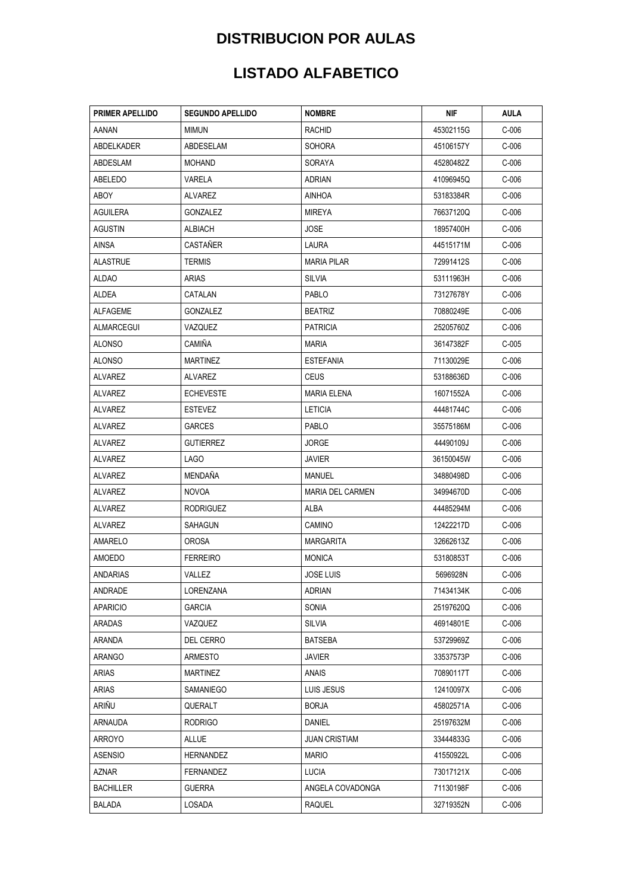| <b>PRIMER APELLIDO</b> | <b>SEGUNDO APELLIDO</b> | <b>NOMBRE</b>           | NIF       | <b>AULA</b> |
|------------------------|-------------------------|-------------------------|-----------|-------------|
| aanan                  | MIMUN                   | <b>RACHID</b>           | 45302115G | $C-006$     |
| ABDELKADER             | ABDESELAM               | <b>SOHORA</b>           | 45106157Y | $C-006$     |
| ABDESLAM               | MOHAND                  | SORAYA                  | 45280482Z | $C-006$     |
| ABELEDO                | VARELA                  | ADRIAN                  | 41096945Q | $C-006$     |
| ABOY                   | ALVAREZ                 | AINHOA                  | 53183384R | $C-006$     |
| AGUILERA               | GONZALEZ                | MIREYA                  | 76637120Q | $C-006$     |
| AGUSTIN                | ALBIACH                 | JOSE                    | 18957400H | $C-006$     |
| AINSA                  | <b>CASTANER</b>         | LAURA                   | 44515171M | $C-006$     |
| <b>ALASTRUE</b>        | <b>TERMIS</b>           | <b>MARIA PILAR</b>      | 72991412S | $C-006$     |
| ALDAO                  | ARIAS                   | SILVIA                  | 53111963H | $C-006$     |
| ALDEA                  | CATALAN                 | PABLO                   | 73127678Y | $C-006$     |
| ALFAGEME               | GONZALEZ                | <b>BEATRIZ</b>          | 70880249E | $C-006$     |
| ALMARCEGUI             | VAZQUEZ                 | <b>PATRICIA</b>         | 25205760Z | $C-006$     |
| <b>ALONSO</b>          | <b>CAMIÑA</b>           | MARIA                   | 36147382F | $C-005$     |
| <b>ALONSO</b>          | <b>MARTINEZ</b>         | <b>ESTEFANIA</b>        | 71130029E | $C-006$     |
| <b>ALVAREZ</b>         | ALVAREZ                 | <b>CEUS</b>             | 53188636D | $C-006$     |
| <b>ALVAREZ</b>         | <b>ECHEVESTE</b>        | <b>MARIA ELENA</b>      | 16071552A | $C-006$     |
| ALVAREZ                | <b>ESTEVEZ</b>          | <b>LETICIA</b>          | 44481744C | $C-006$     |
| ALVAREZ                | <b>GARCES</b>           | PABLO                   | 35575186M | $C-006$     |
| ALVAREZ                | <b>GUTIERREZ</b>        | JORGE                   | 44490109J | $C-006$     |
| ALVAREZ                | <b>LAGO</b>             | JAVIER                  | 36150045W | $C-006$     |
| ALVAREZ                | <b>MENDAÑA</b>          | MANUEL                  | 34880498D | $C-006$     |
| ALVAREZ                | <b>NOVOA</b>            | <b>MARIA DEL CARMEN</b> | 34994670D | $C-006$     |
| ALVAREZ                | RODRIGUEZ               | ALBA                    | 44485294M | C-006       |
| ALVAREZ                | <b>SAHAGUN</b>          | <b>CAMINO</b>           | 12422217D | $C-006$     |
| AMARELO                | OROSA                   | <b>MARGARITA</b>        | 32662613Z | $C-006$     |
| AMOEDO                 | <b>FERREIRO</b>         | MONICA                  | 53180853T | $C-006$     |
| ANDARIAS               | VALLEZ                  | <b>JOSE LUIS</b>        | 5696928N  | $C-006$     |
| ANDRADE                | LORENZANA               | <b>ADRIAN</b>           | 71434134K | $C-006$     |
| <b>APARICIO</b>        | <b>GARCIA</b>           | SONIA                   | 25197620Q | $C-006$     |
| ARADAS                 | VAZQUEZ                 | <b>SILVIA</b>           | 46914801E | $C-006$     |
| <b>ARANDA</b>          | DEL CERRO               | <b>BATSEBA</b>          | 53729969Z | $C-006$     |
| ARANGO                 | <b>ARMESTO</b>          | <b>JAVIER</b>           | 33537573P | $C-006$     |
| <b>ARIAS</b>           | <b>MARTINEZ</b>         | ANAIS                   | 70890117T | $C-006$     |
| ARIAS                  | SAMANIEGO               | LUIS JESUS              | 12410097X | $C-006$     |
| ARIÑU                  | QUERALT                 | <b>BORJA</b>            | 45802571A | $C-006$     |
| ARNAUDA                | <b>RODRIGO</b>          | DANIEL                  | 25197632M | $C-006$     |
| ARROYO                 | ALLUE                   | JUAN CRISTIAM           | 33444833G | $C-006$     |
| <b>ASENSIO</b>         | <b>HERNANDEZ</b>        | MARIO                   | 41550922L | $C-006$     |
| AZNAR                  | FERNANDEZ               | <b>LUCIA</b>            | 73017121X | $C-006$     |
| <b>BACHILLER</b>       | <b>GUERRA</b>           | ANGELA COVADONGA        | 71130198F | $C-006$     |
| <b>BALADA</b>          | LOSADA                  | RAQUEL                  | 32719352N | $C-006$     |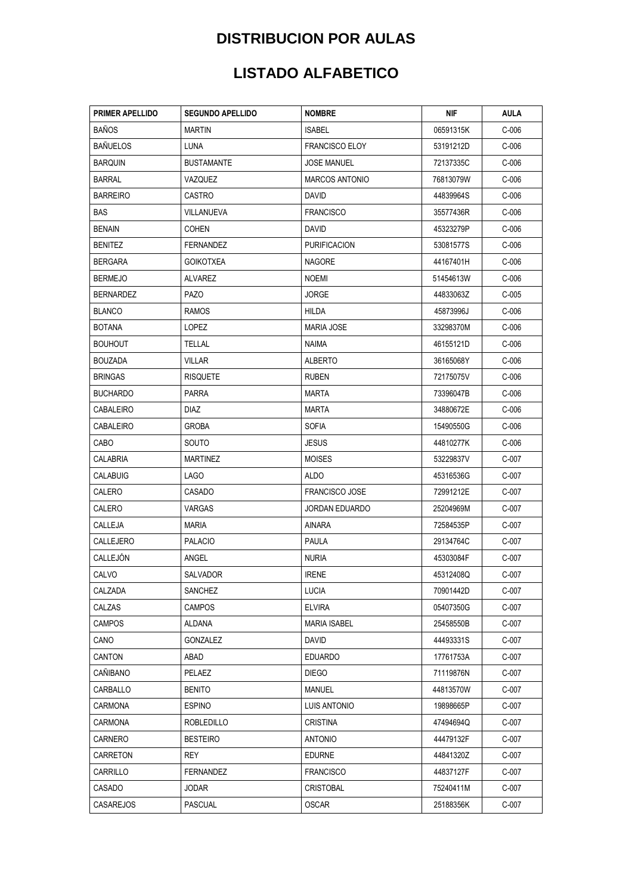| PRIMER APELLIDO  | <b>SEGUNDO APELLIDO</b> | <b>NOMBRE</b>         | NIF       | AULA    |
|------------------|-------------------------|-----------------------|-----------|---------|
| <b>BAÑOS</b>     | <b>MARTIN</b>           | <b>ISABEL</b>         | 06591315K | $C-006$ |
| <b>BAÑUELOS</b>  | LUNA                    | <b>FRANCISCO ELOY</b> | 53191212D | $C-006$ |
| <b>BARQUIN</b>   | <b>BUSTAMANTE</b>       | JOSE MANUEL           | 72137335C | C-006   |
| <b>BARRAL</b>    | VAZQUEZ                 | <b>MARCOS ANTONIO</b> | 76813079W | $C-006$ |
| BARREIRO         | <b>CASTRO</b>           | DAVID                 | 44839964S | $C-006$ |
| BAS              | VILLANUEVA              | <b>FRANCISCO</b>      | 35577436R | C-006   |
| <b>BENAIN</b>    | <b>COHEN</b>            | <b>DAVID</b>          | 45323279P | $C-006$ |
| <b>BENITEZ</b>   | <b>FERNANDEZ</b>        | <b>PURIFICACION</b>   | 53081577S | $C-006$ |
| BERGARA          | <b>GOIKOTXEA</b>        | <b>NAGORE</b>         | 44167401H | $C-006$ |
| <b>BERMEJO</b>   | ALVAREZ                 | NOEMI                 | 51454613W | $C-006$ |
| <b>BERNARDEZ</b> | <b>PAZO</b>             | JORGE                 | 44833063Z | $C-005$ |
| <b>BLANCO</b>    | <b>RAMOS</b>            | HILDA                 | 45873996J | $C-006$ |
| <b>BOTANA</b>    | LOPEZ                   | <b>MARIA JOSE</b>     | 33298370M | $C-006$ |
| <b>BOUHOUT</b>   | TELLAL                  | NAIMA                 | 46155121D | $C-006$ |
| BOUZADA          | <b>VILLAR</b>           | <b>ALBERTO</b>        | 36165068Y | $C-006$ |
| <b>BRINGAS</b>   | <b>RISQUETE</b>         | <b>RUBEN</b>          | 72175075V | $C-006$ |
| <b>BUCHARDO</b>  | <b>PARRA</b>            | MARTA                 | 73396047B | $C-006$ |
| CABALEIRO        | DIAZ                    | MARTA                 | 34880672E | $C-006$ |
| CABALEIRO        | GROBA                   | <b>SOFIA</b>          | 15490550G | C-006   |
| CABO             | <b>SOUTO</b>            | <b>JESUS</b>          | 44810277K | $C-006$ |
| CALABRIA         | <b>MARTINEZ</b>         | <b>MOISES</b>         | 53229837V | $C-007$ |
| CALABUIG         | <b>LAGO</b>             | ALDO                  | 45316536G | C-007   |
| CALERO           | CASADO                  | <b>FRANCISCO JOSE</b> | 72991212E | C-007   |
| CALERO           | <b>VARGAS</b>           | JORDAN EDUARDO        | 25204969M | $C-007$ |
| CALLEJA          | MARIA                   | AINARA                | 72584535P | C-007   |
| CALLEJERO        | <b>PALACIO</b>          | PAULA                 | 29134764C | C-007   |
| CALLEJON         | ANGEL                   | <b>NURIA</b>          | 45303084F | C-007   |
| CALVO            | <b>SALVADOR</b>         | <b>IRENE</b>          | 45312408Q | $C-007$ |
| CALZADA          | SANCHEZ                 | <b>LUCIA</b>          | 70901442D | $C-007$ |
| CALZAS           | <b>CAMPOS</b>           | <b>ELVIRA</b>         | 05407350G | $C-007$ |
| <b>CAMPOS</b>    | ALDANA                  | <b>MARIA ISABEL</b>   | 25458550B | C-007   |
| CANO             | GONZALEZ                | David                 | 44493331S | C-007   |
| CANTON           | ABAD                    | <b>EDUARDO</b>        | 17761753A | C-007   |
| CAÑIBANO         | PELAEZ                  | <b>DIEGO</b>          | 71119876N | C-007   |
| CARBALLO         | <b>BENITO</b>           | MANUEL                | 44813570W | C-007   |
| CARMONA          | <b>ESPINO</b>           | LUIS ANTONIO          | 19898665P | $C-007$ |
| CARMONA          | <b>ROBLEDILLO</b>       | <b>CRISTINA</b>       | 47494694Q | C-007   |
| CARNERO          | <b>BESTEIRO</b>         | <b>ANTONIO</b>        | 44479132F | C-007   |
| CARRETON         | REY                     | <b>EDURNE</b>         | 44841320Z | C-007   |
| CARRILLO         | <b>FERNANDEZ</b>        | <b>FRANCISCO</b>      | 44837127F | C-007   |
| CASADO           | JODAR                   | <b>CRISTOBAL</b>      | 75240411M | C-007   |
| <b>CASAREJOS</b> | <b>PASCUAL</b>          | <b>OSCAR</b>          | 25188356K | $C-007$ |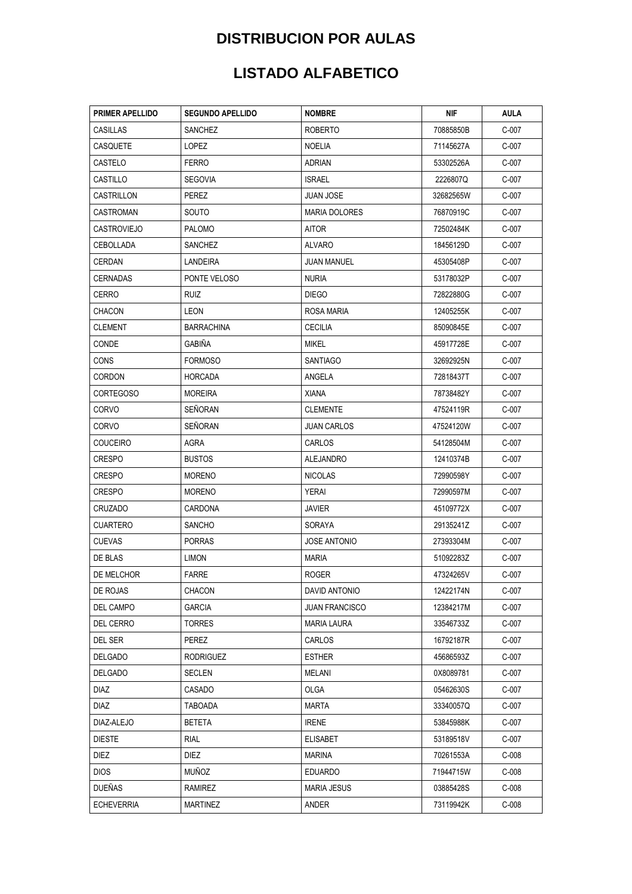| PRIMER APELLIDO    | <b>SEGUNDO APELLIDO</b> | <b>NOMBRE</b>         | NIF       | AULA    |
|--------------------|-------------------------|-----------------------|-----------|---------|
| CASILLAS           | SANCHEZ                 | <b>ROBERTO</b>        | 70885850B | C-007   |
| CASQUETE           | LOPEZ                   | NOELIA                | 71145627A | C-007   |
| CASTELO            | <b>FERRO</b>            | ADRIAN                | 53302526A | C-007   |
| CASTILLO           | <b>SEGOVIA</b>          | <b>ISRAEL</b>         | 2226807Q  | $C-007$ |
| CASTRILLON         | PEREZ                   | JUAN JOSE             | 32682565W | C-007   |
| CASTROMAN          | SOUTO                   | <b>MARIA DOLORES</b>  | 76870919C | C-007   |
| <b>CASTROVIEJO</b> | <b>PALOMO</b>           | AITOR                 | 72502484K | C-007   |
| <b>CEBOLLADA</b>   | SANCHEZ                 | ALVARO                | 18456129D | C-007   |
| CERDAN             | LANDEIRA                | <b>JUAN MANUEL</b>    | 45305408P | C-007   |
| CERNADAS           | PONTE VELOSO            | <b>NURIA</b>          | 53178032P | C-007   |
| <b>CERRO</b>       | RUIZ                    | <b>DIEGO</b>          | 72822880G | C-007   |
| CHACON             | LEON                    | ROSA MARIA            | 12405255K | C-007   |
| CLEMENT            | <b>BARRACHINA</b>       | <b>CECILIA</b>        | 85090845E | C-007   |
| CONDE              | <b>GABIÑA</b>           | MIKEL                 | 45917728E | C-007   |
| CONS               | <b>FORMOSO</b>          | <b>SANTIAGO</b>       | 32692925N | C-007   |
| <b>CORDON</b>      | <b>HORCADA</b>          | ANGELA                | 72818437T | C-007   |
| CORTEGOSO          | <b>MOREIRA</b>          | XIANA                 | 78738482Y | C-007   |
| CORVO              | SEÑORAN                 | <b>CLEMENTE</b>       | 47524119R | C-007   |
| CORVO              | <b>SEÑORAN</b>          | <b>JUAN CARLOS</b>    | 47524120W | C-007   |
| <b>COUCEIRO</b>    | AGRA                    | <b>CARLOS</b>         | 54128504M | C-007   |
| <b>CRESPO</b>      | <b>BUSTOS</b>           | ALEJANDRO             | 12410374B | C-007   |
| CRESPO             | <b>MORENO</b>           | <b>NICOLAS</b>        | 72990598Y | C-007   |
| <b>CRESPO</b>      | <b>MORENO</b>           | YERAI                 | 72990597M | $C-007$ |
| CRUZADO            | CARDONA                 | JAVIER                | 45109772X | C-007   |
| <b>CUARTERO</b>    | <b>SANCHO</b>           | SORAYA                | 29135241Z | C-007   |
| <b>CUEVAS</b>      | <b>PORRAS</b>           | JOSE ANTONIO          | 27393304M | C-007   |
| DE BLAS            | LIMON                   | MARIA                 | 51092283Z | C-007   |
| DE MELCHOR         | <b>FARRE</b>            | ROGER                 | 47324265V | C-007   |
| DE ROJAS           | CHACON                  | DAVID ANTONIO         | 12422174N | $C-007$ |
| DEL CAMPO          | GARCIA                  | <b>JUAN FRANCISCO</b> | 12384217M | C-007   |
| DEL CERRO          | <b>TORRES</b>           | <b>MARIA LAURA</b>    | 33546733Z | C-007   |
| DEL SER            | PEREZ                   | <b>CARLOS</b>         | 16792187R | C-007   |
| <b>DELGADO</b>     | <b>RODRIGUEZ</b>        | <b>ESTHER</b>         | 45686593Z | C-007   |
| <b>DELGADO</b>     | <b>SECLEN</b>           | MELANI                | 0X8089781 | C-007   |
| <b>DIAZ</b>        | CASADO                  | OLGA                  | 05462630S | C-007   |
| DIAZ               | TABOADA                 | <b>MARTA</b>          | 33340057Q | $C-007$ |
| DIAZ-ALEJO         | <b>BETETA</b>           | <b>IRENE</b>          | 53845988K | C-007   |
| <b>DIESTE</b>      | <b>RIAL</b>             | <b>ELISABET</b>       | 53189518V | $C-007$ |
| DIEZ               | DIEZ                    | MARINA                | 70261553A | $C-008$ |
| <b>DIOS</b>        | MUÑOZ                   | <b>EDUARDO</b>        | 71944715W | $C-008$ |
| <b>DUEÑAS</b>      | RAMIREZ                 | <b>MARIA JESUS</b>    | 03885428S | $C-008$ |
| <b>ECHEVERRIA</b>  | <b>MARTINEZ</b>         | ANDER                 | 73119942K | $C-008$ |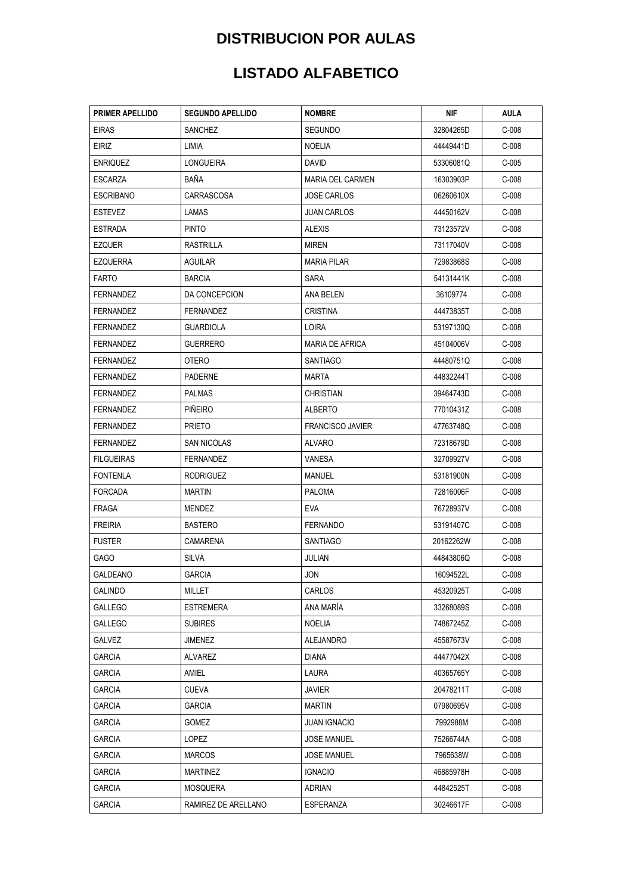| <b>PRIMER APELLIDO</b> | <b>SEGUNDO APELLIDO</b> | <b>NOMBRE</b>           | NIF       | AULA    |
|------------------------|-------------------------|-------------------------|-----------|---------|
| <b>EIRAS</b>           | <b>SANCHEZ</b>          | <b>SEGUNDO</b>          | 32804265D | $C-008$ |
| EIRIZ                  | LIMIA                   | <b>NOELIA</b>           | 44449441D | $C-008$ |
| <b>ENRIQUEZ</b>        | <b>LONGUEIRA</b>        | DAVID                   | 53306081Q | $C-005$ |
| ESCARZA                | BAÑA                    | <b>MARIA DEL CARMEN</b> | 16303903P | $C-008$ |
| ESCRIBANO              | <b>CARRASCOSA</b>       | <b>JOSE CARLOS</b>      | 06260610X | $C-008$ |
| <b>ESTEVEZ</b>         | LAMAS                   | <b>JUAN CARLOS</b>      | 44450162V | $C-008$ |
| <b>ESTRADA</b>         | <b>PINTO</b>            | <b>ALEXIS</b>           | 73123572V | $C-008$ |
| EZQUER                 | RASTRILLA               | MIREN                   | 73117040V | $C-008$ |
| EZQUERRA               | <b>AGUILAR</b>          | <b>MARIA PILAR</b>      | 72983868S | $C-008$ |
| FARTO                  | <b>BARCIA</b>           | SARA                    | 54131441K | $C-008$ |
| FERNANDEZ              | DA CONCEPCION           | ANA BELEN               | 36109774  | $C-008$ |
| <b>FERNANDEZ</b>       | FERNANDEZ               | <b>CRISTINA</b>         | 44473835T | $C-008$ |
| FERNANDEZ              | <b>GUARDIOLA</b>        | LOIRA                   | 53197130Q | $C-008$ |
| <b>FERNANDEZ</b>       | <b>GUERRERO</b>         | <b>MARIA DE AFRICA</b>  | 45104006V | $C-008$ |
| FERNANDEZ              | OTERO                   | <b>SANTIAGO</b>         | 44480751Q | $C-008$ |
| FERNANDEZ              | <b>PADERNE</b>          | MARTA                   | 44832244T | $C-008$ |
| FERNANDEZ              | <b>PALMAS</b>           | <b>CHRISTIAN</b>        | 39464743D | $C-008$ |
| FERNANDEZ              | <b>PINEIRO</b>          | ALBERTO                 | 77010431Z | $C-008$ |
| <b>FERNANDEZ</b>       | <b>PRIETO</b>           | <b>FRANCISCO JAVIER</b> | 47763748Q | $C-008$ |
| FERNANDEZ              | SAN NICOLAS             | ALVARO                  | 72318679D | $C-008$ |
| <b>FILGUEIRAS</b>      | <b>FERNANDEZ</b>        | VANESA                  | 32709927V | $C-008$ |
| <b>FONTENLA</b>        | <b>RODRIGUEZ</b>        | MANUEL                  | 53181900N | $C-008$ |
| FORCADA                | <b>MARTIN</b>           | <b>PALOMA</b>           | 72816006F | $C-008$ |
| <b>FRAGA</b>           | MENDEZ                  | EVA                     | 76728937V | $C-008$ |
| <b>FREIRIA</b>         | <b>BASTERO</b>          | <b>FERNANDO</b>         | 53191407C | $C-008$ |
| <b>FUSTER</b>          | CAMARENA                | <b>SANTIAGO</b>         | 20162262W | $C-008$ |
| GAGO                   | SILVA                   | JULIAN                  | 44843806Q | $C-008$ |
| GALDEANO               | <b>GARCIA</b>           | JON                     | 16094522L | $C-008$ |
| <b>GALINDO</b>         | MILLET                  | CARLOS                  | 45320925T | $C-008$ |
| GALLEGO                | <b>ESTREMERA</b>        | ANA MARIA               | 33268089S | $C-008$ |
| GALLEGO                | <b>SUBIRES</b>          | <b>NOELIA</b>           | 74867245Z | $C-008$ |
| GALVEZ                 | JIMENEZ                 | ALEJANDRO               | 45587673V | $C-008$ |
| <b>GARCIA</b>          | <b>ALVAREZ</b>          | <b>DIANA</b>            | 44477042X | $C-008$ |
| <b>GARCIA</b>          | AMIEL                   | LAURA                   | 40365765Y | $C-008$ |
| GARCIA                 | CUEVA                   | JAVIER                  | 20478211T | $C-008$ |
| <b>GARCIA</b>          | <b>GARCIA</b>           | <b>MARTIN</b>           | 07980695V | $C-008$ |
| GARCIA                 | GOMEZ                   | <b>JUAN IGNACIO</b>     | 7992988M  | $C-008$ |
| <b>GARCIA</b>          | LOPEZ                   | <b>JOSE MANUEL</b>      | 75266744A | $C-008$ |
| GARCIA                 | <b>MARCOS</b>           | <b>JOSE MANUEL</b>      | 7965638W  | $C-008$ |
| <b>GARCIA</b>          | MARTINEZ                | <b>IGNACIO</b>          | 46885978H | $C-008$ |
| GARCIA                 | MOSQUERA                | ADRIAN                  | 44842525T | $C-008$ |
| <b>GARCIA</b>          | RAMIREZ DE ARELLANO     | ESPERANZA               | 30246617F | $C-008$ |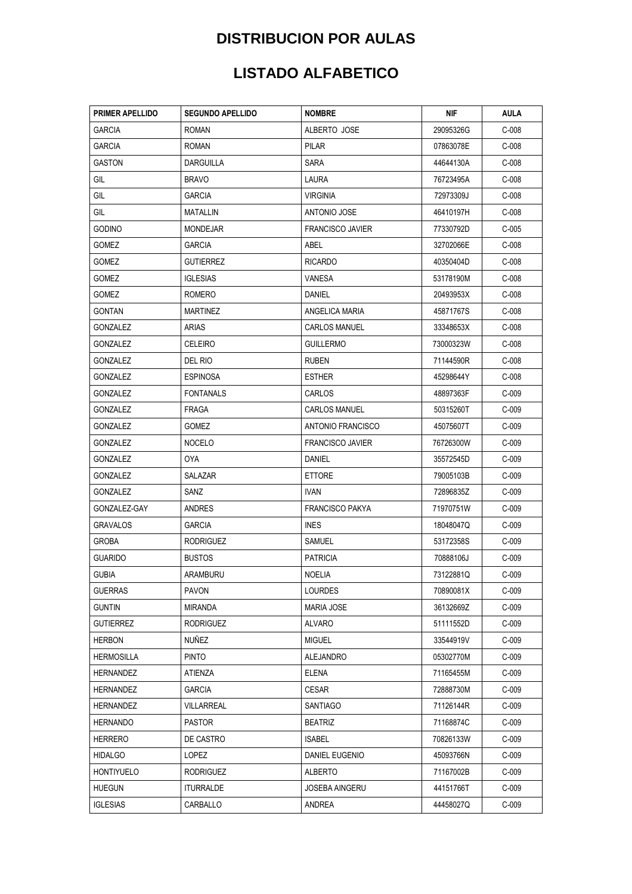| <b>PRIMER APELLIDO</b> | <b>SEGUNDO APELLIDO</b> | <b>NOMBRE</b>           | NIF       | <b>AULA</b> |
|------------------------|-------------------------|-------------------------|-----------|-------------|
| <b>GARCIA</b>          | ROMAN                   | ALBERTO JOSE            | 29095326G | $C-008$     |
| <b>GARCIA</b>          | <b>ROMAN</b>            | <b>PILAR</b>            | 07863078E | $C-008$     |
| <b>GASTON</b>          | DARGUILLA               | SARA                    | 44644130A | $C-008$     |
| GIL                    | <b>BRAVO</b>            | LAURA                   | 76723495A | $C-008$     |
| GIL                    | GARCIA                  | <b>VIRGINIA</b>         | 72973309J | $C-008$     |
| GIL                    | <b>MATALLIN</b>         | ANTONIO JOSE            | 46410197H | $C-008$     |
| <b>GODINO</b>          | <b>MONDEJAR</b>         | <b>FRANCISCO JAVIER</b> | 77330792D | $C-005$     |
| GOMEZ                  | GARCIA                  | ABEL                    | 32702066E | $C-008$     |
| GOMEZ                  | GUTIERREZ               | <b>RICARDO</b>          | 40350404D | $C-008$     |
| <b>GOMEZ</b>           | <b>IGLESIAS</b>         | VANESA                  | 53178190M | $C-008$     |
| <b>GOMEZ</b>           | ROMERO                  | DANIEL                  | 20493953X | $C-008$     |
| <b>GONTAN</b>          | <b>MARTINEZ</b>         | ANGELICA MARIA          | 45871767S | $C-008$     |
| <b>GONZALEZ</b>        | ARIAS                   | <b>CARLOS MANUEL</b>    | 33348653X | $C-008$     |
| GONZALEZ               | <b>CELEIRO</b>          | <b>GUILLERMO</b>        | 73000323W | $C-008$     |
| <b>GONZALEZ</b>        | DEL RIO                 | <b>RUBEN</b>            | 71144590R | $C-008$     |
| <b>GONZALEZ</b>        | <b>ESPINOSA</b>         | <b>ESTHER</b>           | 45298644Y | $C-008$     |
| GONZALEZ               | FONTANALS               | CARLOS                  | 48897363F | $C-009$     |
| <b>GONZALEZ</b>        | FRAGA                   | <b>CARLOS MANUEL</b>    | 50315260T | $C-009$     |
| <b>GONZALEZ</b>        | GOMEZ                   | ANTONIO FRANCISCO       | 45075607T | $C-009$     |
| GONZALEZ               | <b>NOCELO</b>           | <b>FRANCISCO JAVIER</b> | 76726300W | $C-009$     |
| GONZALEZ               | 0YA                     | DANIEL                  | 35572545D | $C-009$     |
| <b>GONZALEZ</b>        | <b>SALAZAR</b>          | <b>ETTORE</b>           | 79005103B | $C-009$     |
| GONZALEZ               | SANZ                    | <b>IVAN</b>             | 72896835Z | $C-009$     |
| GONZALEZ-GAY           | ANDRES                  | <b>FRANCISCO PAKYA</b>  | 71970751W | $C-009$     |
| <b>GRAVALOS</b>        | <b>GARCIA</b>           | <b>INES</b>             | 18048047Q | $C-009$     |
| <b>GROBA</b>           | <b>RODRIGUEZ</b>        | SAMUEL                  | 53172358S | $C-009$     |
| <b>GUARIDO</b>         | <b>BUSTOS</b>           | PATRICIA                | 70888106J | $C-009$     |
| <b>GUBIA</b>           | ARAMBURU                | <b>NOELIA</b>           | 73122881Q | $C-009$     |
| GUERRAS                | PAVON                   | LOURDES                 | 70890081X | $C-009$     |
| <b>GUNTIN</b>          | <b>MIRANDA</b>          | <b>MARIA JOSE</b>       | 36132669Z | $C-009$     |
| <b>GUTIERREZ</b>       | <b>RODRIGUEZ</b>        | ALVARO                  | 51111552D | $C-009$     |
| HERBON                 | NUÑEZ                   | MIGUEL                  | 33544919V | $C-009$     |
| <b>HERMOSILLA</b>      | <b>PINTO</b>            | ALEJANDRO               | 05302770M | $C-009$     |
| HERNANDEZ              | ATIENZA                 | <b>ELENA</b>            | 71165455M | $C-009$     |
| HERNANDEZ              | GARCIA                  | CESAR                   | 72888730M | $C-009$     |
| HERNANDEZ              | <b>VILLARREAL</b>       | SANTIAGO                | 71126144R | $C-009$     |
| HERNANDO               | <b>PASTOR</b>           | <b>BEATRIZ</b>          | 71168874C | $C-009$     |
| HERRERO                | DE CASTRO               | ISABEL                  | 70826133W | $C-009$     |
| <b>HIDALGO</b>         | LOPEZ                   | DANIEL EUGENIO          | 45093766N | $C-009$     |
| <b>HONTIYUELO</b>      | <b>RODRIGUEZ</b>        | ALBERTO                 | 71167002B | $C-009$     |
| HUEGUN                 | <b>ITURRALDE</b>        | JOSEBA AINGERU          | 44151766T | $C-009$     |
| <b>IGLESIAS</b>        | CARBALLO                | ANDREA                  | 44458027Q | $C-009$     |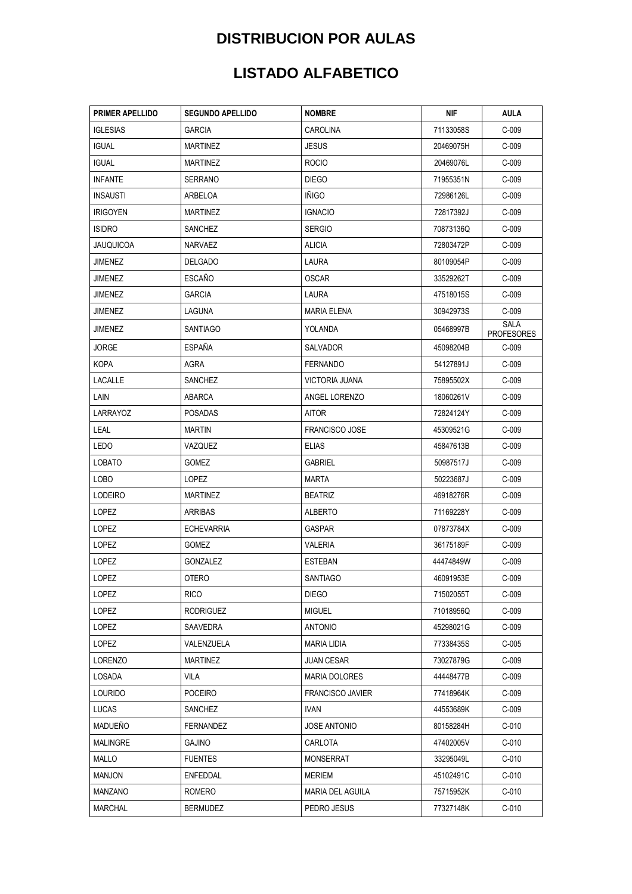| PRIMER APELLIDO  | <b>SEGUNDO APELLIDO</b> | <b>NOMBRE</b>           | NIF       | AULA                             |
|------------------|-------------------------|-------------------------|-----------|----------------------------------|
| <b>IGLESIAS</b>  | GARCIA                  | CAROLINA                | 71133058S | $C-009$                          |
| <b>IGUAL</b>     | <b>MARTINEZ</b>         | JESUS                   | 20469075H | $C-009$                          |
| <b>IGUAL</b>     | <b>MARTINEZ</b>         | <b>ROCIO</b>            | 20469076L | $C-009$                          |
| <b>INFANTE</b>   | <b>SERRANO</b>          | <b>DIEGO</b>            | 71955351N | $C-009$                          |
| <b>INSAUSTI</b>  | ARBELOA                 | <b>INIGO</b>            | 72986126L | $C-009$                          |
| <b>IRIGOYEN</b>  | <b>MARTINEZ</b>         | <b>IGNACIO</b>          | 72817392J | $C-009$                          |
| <b>ISIDRO</b>    | SANCHEZ                 | <b>SERGIO</b>           | 70873136Q | $C-009$                          |
| <b>JAUQUICOA</b> | NARVAEZ                 | ALICIA                  | 72803472P | $C-009$                          |
| JIMENEZ          | <b>DELGADO</b>          | LAURA                   | 80109054P | $C-009$                          |
| <b>JIMENEZ</b>   | <b>ESCAÑO</b>           | <b>OSCAR</b>            | 33529262T | $C-009$                          |
| JIMENEZ          | GARCIA                  | LAURA                   | 47518015S | $C-009$                          |
| JIMENEZ          | LAGUNA                  | <b>MARIA ELENA</b>      | 30942973S | $C-009$                          |
| <b>JIMENEZ</b>   | SANTIAGO                | YOLANDA                 | 05468997B | <b>SALA</b><br><b>PROFESORES</b> |
| JORGE            | ESPAÑA                  | SALVADOR                | 45098204B | $C-009$                          |
| <b>KOPA</b>      | <b>AGRA</b>             | <b>FERNANDO</b>         | 54127891J | $C-009$                          |
| LACALLE          | SANCHEZ                 | VICTORIA JUANA          | 75895502X | $C-009$                          |
| LAIN             | <b>ABARCA</b>           | ANGEL LORENZO           | 18060261V | $C-009$                          |
| LARRAYOZ         | POSADAS                 | AITOR                   | 72824124Y | $C-009$                          |
| LEAL             | <b>MARTIN</b>           | <b>FRANCISCO JOSE</b>   | 45309521G | $C-009$                          |
| LEDO             | VAZQUEZ                 | <b>ELIAS</b>            | 45847613B | $C-009$                          |
| <b>LOBATO</b>    | <b>GOMEZ</b>            | <b>GABRIEL</b>          | 50987517J | $C-009$                          |
| LOBO             | LOPEZ                   | MARTA                   | 50223687J | $C-009$                          |
| LODEIRO          | MARTINEZ                | <b>BEATRIZ</b>          | 46918276R | $C-009$                          |
| LOPEZ            | ARRIBAS                 | ALBERTO                 | 71169228Y | $C-009$                          |
| LOPEZ            | <b>ECHEVARRIA</b>       | GASPAR                  | 07873784X | $C-009$                          |
| LOPEZ            | <b>GOMEZ</b>            | VALERIA                 | 36175189F | $C-009$                          |
| LOPEZ            | GONZALEZ                | <b>ESTEBAN</b>          | 44474849W | $C-009$                          |
| LOPEZ            | <b>OTERO</b>            | <b>SANTIAGO</b>         | 46091953E | $C-009$                          |
| LOPEZ            | <b>RICO</b>             | <b>DIEGO</b>            | 71502055T | $C-009$                          |
| LOPEZ            | <b>RODRIGUEZ</b>        | MIGUEL                  | 71018956Q | $C-009$                          |
| LOPEZ            | SAAVEDRA                | ANTONIO                 | 45298021G | $C-009$                          |
| LOPEZ            | VALENZUELA              | MARIA LIDIA             | 77338435S | $C-005$                          |
| LORENZO          | MARTINEZ                | <b>JUAN CESAR</b>       | 73027879G | $C-009$                          |
| LOSADA           | VILA                    | MARIA DOLORES           | 44448477B | $C-009$                          |
| Lourido          | POCEIRO                 | <b>FRANCISCO JAVIER</b> | 77418964K | $C-009$                          |
| LUCAS            | SANCHEZ                 | IVAN                    | 44553689K | $C-009$                          |
| MADUEÑO          | FERNANDEZ               | <b>JOSE ANTONIO</b>     | 80158284H | $C-010$                          |
| MALINGRE         | GAJINO                  | CARLOTA                 | 47402005V | $C-010$                          |
| MALLO            | <b>FUENTES</b>          | MONSERRAT               | 33295049L | $C-010$                          |
| <b>MANJON</b>    | ENFEDDAL                | MERIEM                  | 45102491C | $C-010$                          |
| MANZANO          | ROMERO                  | MARIA DEL AGUILA        | 75715952K | $C-010$                          |
| <b>MARCHAL</b>   | <b>BERMUDEZ</b>         | PEDRO JESUS             | 77327148K | $C-010$                          |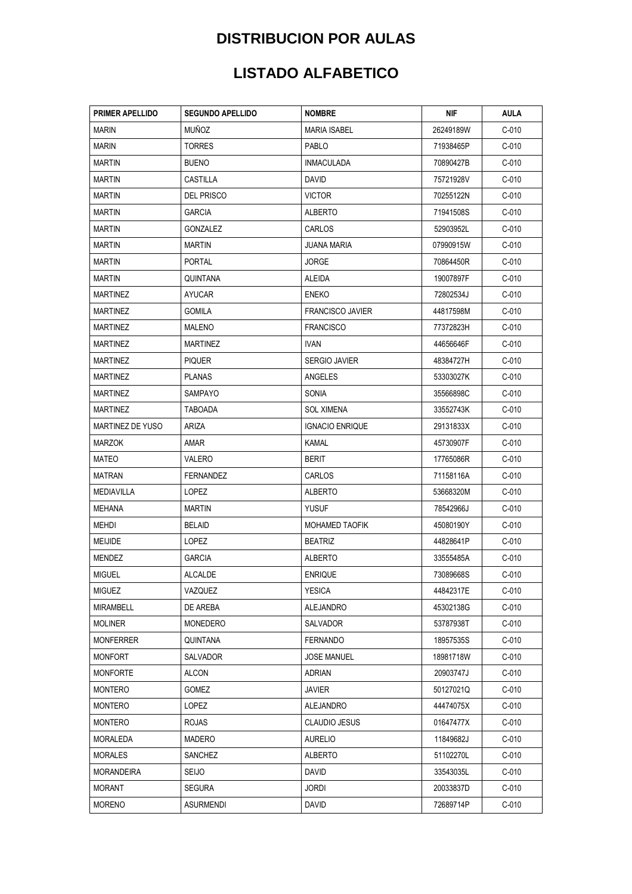| <b>PRIMER APELLIDO</b>  | <b>SEGUNDO APELLIDO</b> | <b>NOMBRE</b>           | NIF       | AULA    |
|-------------------------|-------------------------|-------------------------|-----------|---------|
| <b>MARIN</b>            | <b>MUÑOZ</b>            | <b>MARIA ISABEL</b>     | 26249189W | $C-010$ |
| <b>MARIN</b>            | <b>TORRES</b>           | PABLO                   | 71938465P | $C-010$ |
| <b>MARTIN</b>           | <b>BUENO</b>            | <b>INMACULADA</b>       | 70890427B | $C-010$ |
| <b>MARTIN</b>           | CASTILLA                | DAVID                   | 75721928V | $C-010$ |
| <b>MARTIN</b>           | DEL PRISCO              | VICTOR                  | 70255122N | $C-010$ |
| <b>MARTIN</b>           | GARCIA                  | ALBERTO                 | 71941508S | $C-010$ |
| <b>MARTIN</b>           | GONZALEZ                | <b>CARLOS</b>           | 52903952L | $C-010$ |
| <b>MARTIN</b>           | <b>MARTIN</b>           | <b>JUANA MARIA</b>      | 07990915W | $C-010$ |
| <b>MARTIN</b>           | <b>PORTAL</b>           | <b>JORGE</b>            | 70864450R | $C-010$ |
| <b>MARTIN</b>           | QUINTANA                | ALEIDA                  | 19007897F | $C-010$ |
| <b>MARTINEZ</b>         | AYUCAR                  | ENEKO                   | 72802534J | $C-010$ |
| MARTINEZ                | GOMILA                  | <b>FRANCISCO JAVIER</b> | 44817598M | $C-010$ |
| <b>MARTINEZ</b>         | MALENO                  | <b>FRANCISCO</b>        | 77372823H | $C-010$ |
| <b>MARTINEZ</b>         | <b>MARTINEZ</b>         | IVAN.                   | 44656646F | $C-010$ |
| <b>MARTINEZ</b>         | <b>PIQUER</b>           | <b>SERGIO JAVIER</b>    | 48384727H | $C-010$ |
| <b>MARTINEZ</b>         | <b>PLANAS</b>           | ANGELES                 | 53303027K | $C-010$ |
| MARTINEZ                | SAMPAYO                 | SONIA                   | 35566898C | $C-010$ |
| <b>MARTINEZ</b>         | TABOADA                 | SOL XIMENA              | 33552743K | $C-010$ |
| <b>MARTINEZ DE YUSO</b> | ARIZA                   | <b>IGNACIO ENRIQUE</b>  | 29131833X | $C-010$ |
| <b>MARZOK</b>           | amar                    | KAMAL                   | 45730907F | $C-010$ |
| MATEO                   | VALERO                  | <b>BERIT</b>            | 17765086R | $C-010$ |
| <b>MATRAN</b>           | FERNANDEZ               | CARLOS                  | 71158116A | $C-010$ |
| MEDIAVILLA              | LOPEZ                   | ALBERTO                 | 53668320M | $C-010$ |
| MEHANA                  | <b>MARTIN</b>           | YUSUF                   | 78542966J | $C-010$ |
| MEHDI                   | <b>BELAID</b>           | <b>MOHAMED TAOFIK</b>   | 45080190Y | $C-010$ |
| <b>MEIJIDE</b>          | LOPEZ                   | <b>BEATRIZ</b>          | 44828641P | $C-010$ |
| MENDEZ                  | GARCIA                  | ALBERTO                 | 33555485A | $C-010$ |
| <b>MIGUEL</b>           | <b>ALCALDE</b>          | <b>ENRIQUE</b>          | 73089668S | $C-010$ |
| <b>MIGUEZ</b>           | VAZQUEZ                 | <b>YESICA</b>           | 44842317E | $C-010$ |
| MIRAMBELL               | DE AREBA                | ALEJANDRO               | 45302138G | $C-010$ |
| <b>MOLINER</b>          | MONEDERO                | SALVADOR                | 53787938T | C-010   |
| <b>MONFERRER</b>        | QUINTANA                | FERNANDO                | 18957535S | C-010   |
| <b>MONFORT</b>          | <b>SALVADOR</b>         | <b>JOSE MANUEL</b>      | 18981718W | $C-010$ |
| <b>MONFORTE</b>         | ALCON                   | <b>ADRIAN</b>           | 20903747J | $C-010$ |
| <b>MONTERO</b>          | GOMEZ                   | JAVIER                  | 50127021Q | $C-010$ |
| <b>MONTERO</b>          | LOPEZ                   | ALEJANDRO               | 44474075X | $C-010$ |
| MONTERO                 | ROJAS                   | <b>CLAUDIO JESUS</b>    | 01647477X | C-010   |
| MORALEDA                | MADERO                  | AURELIO                 | 11849682J | $C-010$ |
| <b>MORALES</b>          | SANCHEZ                 | ALBERTO                 | 51102270L | $C-010$ |
| <b>MORANDEIRA</b>       | <b>SEIJO</b>            | David                   | 33543035L | $C-010$ |
| MORANT                  | <b>SEGURA</b>           | JORDI                   | 20033837D | $C-010$ |
| <b>MORENO</b>           | <b>ASURMENDI</b>        | <b>DAVID</b>            | 72689714P | $C-010$ |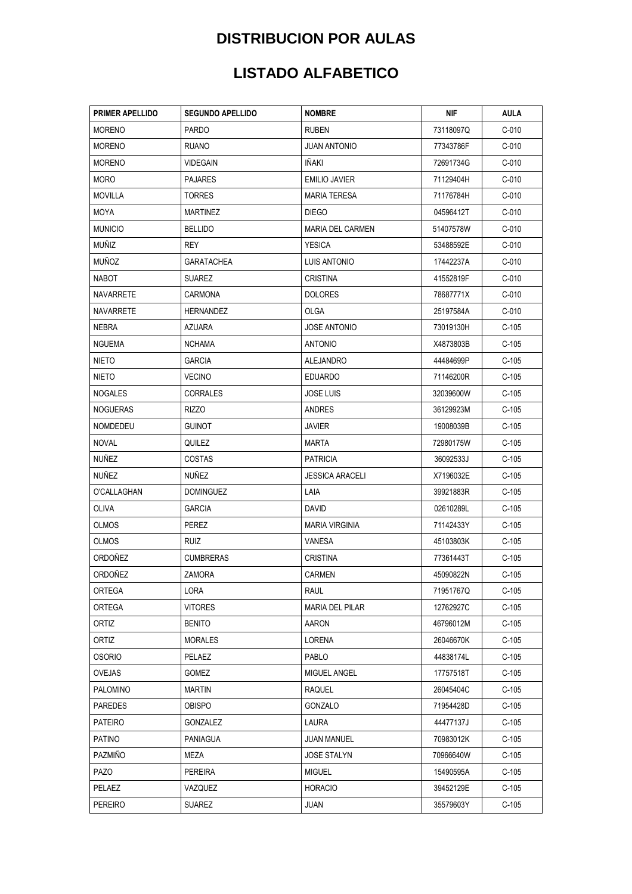| <b>PRIMER APELLIDO</b> | <b>SEGUNDO APELLIDO</b> | <b>NOMBRE</b>           | NIF       | <b>AULA</b> |
|------------------------|-------------------------|-------------------------|-----------|-------------|
| <b>MORENO</b>          | <b>PARDO</b>            | <b>RUBEN</b>            | 73118097Q | $C-010$     |
| <b>MORENO</b>          | <b>RUANO</b>            | JUAN ANTONIO            | 77343786F | $C-010$     |
| <b>MORENO</b>          | <b>VIDEGAIN</b>         | IÑAKI                   | 72691734G | $C-010$     |
| <b>MORO</b>            | <b>PAJARES</b>          | <b>EMILIO JAVIER</b>    | 71129404H | $C-010$     |
| <b>MOVILLA</b>         | <b>TORRES</b>           | MARIA TERESA            | 71176784H | $C-010$     |
| MOYA                   | <b>MARTINEZ</b>         | <b>DIEGO</b>            | 04596412T | $C-010$     |
| <b>MUNICIO</b>         | <b>BELLIDO</b>          | <b>MARIA DEL CARMEN</b> | 51407578W | $C-010$     |
| MUÑIZ                  | REY                     | <b>YESICA</b>           | 53488592E | $C-010$     |
| <b>MUÑOZ</b>           | <b>GARATACHEA</b>       | <b>LUIS ANTONIO</b>     | 17442237A | $C-010$     |
| NABOT                  | <b>SUAREZ</b>           | <b>CRISTINA</b>         | 41552819F | $C-010$     |
| NAVARRETE              | CARMONA                 | <b>DOLORES</b>          | 78687771X | $C-010$     |
| <b>NAVARRETE</b>       | HERNANDEZ               | OLGA                    | 25197584A | $C-010$     |
| <b>NEBRA</b>           | AZUARA                  | <b>JOSE ANTONIO</b>     | 73019130H | $C-105$     |
| <b>NGUEMA</b>          | <b>NCHAMA</b>           | <b>ANTONIO</b>          | X4873803B | $C-105$     |
| NIETO                  | <b>GARCIA</b>           | <b>ALEJANDRO</b>        | 44484699P | $C-105$     |
| NIETO                  | <b>VECINO</b>           | <b>EDUARDO</b>          | 71146200R | $C-105$     |
| NOGALES                | <b>CORRALES</b>         | <b>JOSE LUIS</b>        | 32039600W | $C-105$     |
| NOGUERAS               | RIZZO                   | ANDRES                  | 36129923M | $C-105$     |
| NOMDEDEU               | <b>GUINOT</b>           | JAVIER                  | 19008039B | $C-105$     |
| NOVAL                  | QUILEZ                  | MARTA                   | 72980175W | $C-105$     |
| NUÑEZ                  | <b>COSTAS</b>           | <b>PATRICIA</b>         | 36092533J | $C-105$     |
| NUÑEZ                  | <b>NUÑEZ</b>            | <b>JESSICA ARACELI</b>  | X7196032E | $C-105$     |
| O'CALLAGHAN            | <b>DOMINGUEZ</b>        | LAIA                    | 39921883R | $C-105$     |
| OLIVA                  | <b>GARCIA</b>           | DAVID                   | 02610289L | $C-105$     |
| <b>OLMOS</b>           | PEREZ                   | <b>MARIA VIRGINIA</b>   | 71142433Y | $C-105$     |
| <b>OLMOS</b>           | RUIZ                    | VANESA                  | 45103803K | $C-105$     |
| ORDOÑEZ                | <b>CUMBRERAS</b>        | CRISTINA                | 77361443T | $C-105$     |
| ORDOÑEZ                | ZAMORA                  | CARMEN                  | 45090822N | $C-105$     |
| ORTEGA                 | LORA                    | RAUL                    | 71951767Q | $C-105$     |
| <b>ORTEGA</b>          | <b>VITORES</b>          | <b>MARIA DEL PILAR</b>  | 12762927C | $C-105$     |
| <b>ORTIZ</b>           | <b>BENITO</b>           | AARON                   | 46796012M | $C-105$     |
| ORTIZ                  | <b>MORALES</b>          | LORENA                  | 26046670K | C-105       |
| <b>OSORIO</b>          | PELAEZ                  | PABLO                   | 44838174L | $C-105$     |
| OVEJAS                 | <b>GOMEZ</b>            | MIGUEL ANGEL            | 17757518T | C-105       |
| PALOMINO               | <b>MARTIN</b>           | RAQUEL                  | 26045404C | C-105       |
| <b>PAREDES</b>         | <b>OBISPO</b>           | GONZALO                 | 71954428D | $C-105$     |
| <b>PATEIRO</b>         | GONZALEZ                | <b>LAURA</b>            | 44477137J | C-105       |
| PATINO                 | PANIAGUA                | JUAN MANUEL             | 70983012K | $C-105$     |
| <b>PAZMIÑO</b>         | MEZA                    | <b>JOSE STALYN</b>      | 70966640W | C-105       |
| PAZO                   | <b>PEREIRA</b>          | <b>MIGUEL</b>           | 15490595A | C-105       |
| PELAEZ                 | VAZQUEZ                 | <b>HORACIO</b>          | 39452129E | $C-105$     |
| <b>PEREIRO</b>         | <b>SUAREZ</b>           | <b>JUAN</b>             | 35579603Y | $C-105$     |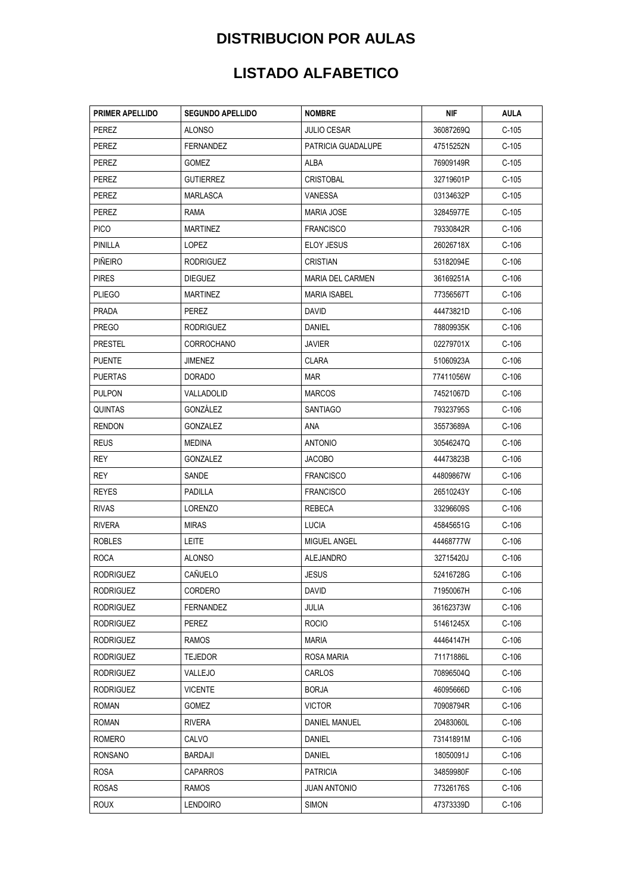| <b>PRIMER APELLIDO</b> | <b>SEGUNDO APELLIDO</b> | <b>NOMBRE</b>           | NIF       | AULA    |
|------------------------|-------------------------|-------------------------|-----------|---------|
| PEREZ                  | ALONSO                  | <b>JULIO CESAR</b>      | 36087269Q | $C-105$ |
| <b>PEREZ</b>           | <b>FERNANDEZ</b>        | PATRICIA GUADALUPE      | 47515252N | $C-105$ |
| PEREZ                  | <b>GOMEZ</b>            | ALBA                    | 76909149R | $C-105$ |
| PEREZ                  | <b>GUTIERREZ</b>        | <b>CRISTOBAL</b>        | 32719601P | $C-105$ |
| PEREZ                  | MARLASCA                | VANESSA                 | 03134632P | $C-105$ |
| PEREZ                  | rama                    | MARIA JOSE              | 32845977E | $C-105$ |
| <b>PICO</b>            | MARTINEZ                | <b>FRANCISCO</b>        | 79330842R | $C-106$ |
| PINILLA                | LOPEZ                   | ELOY JESUS              | 26026718X | $C-106$ |
| <b>PIÑEIRO</b>         | <b>RODRIGUEZ</b>        | CRISTIAN                | 53182094E | $C-106$ |
| <b>PIRES</b>           | <b>DIEGUEZ</b>          | <b>MARIA DEL CARMEN</b> | 36169251A | $C-106$ |
| <b>PLIEGO</b>          | <b>MARTINEZ</b>         | <b>MARIA ISABEL</b>     | 77356567T | $C-106$ |
| PRADA                  | PEREZ                   | david                   | 44473821D | $C-106$ |
| <b>PREGO</b>           | <b>RODRIGUEZ</b>        | DANIEL                  | 78809935K | $C-106$ |
| <b>PRESTEL</b>         | CORROCHANO              | <b>JAVIER</b>           | 02279701X | $C-106$ |
| <b>PUENTE</b>          | JIMENEZ                 | CLARA                   | 51060923A | $C-106$ |
| <b>PUERTAS</b>         | <b>DORADO</b>           | MAR                     | 77411056W | $C-106$ |
| <b>PULPON</b>          | VALLADOLID              | <b>MARCOS</b>           | 74521067D | $C-106$ |
| <b>QUINTAS</b>         | GONZALEZ                | SANTIAGO                | 79323795S | $C-106$ |
| <b>RENDON</b>          | GONZALEZ                | ANA                     | 35573689A | $C-106$ |
| <b>REUS</b>            | MEDINA                  | ANTONIO                 | 30546247Q | $C-106$ |
| REY                    | GONZALEZ                | <b>JACOBO</b>           | 44473823B | $C-106$ |
| REY                    | SANDE                   | <b>FRANCISCO</b>        | 44809867W | $C-106$ |
| REYES                  | PADILLA                 | <b>FRANCISCO</b>        | 26510243Y | $C-106$ |
| <b>RIVAS</b>           | <b>LORENZO</b>          | REBECA                  | 33296609S | $C-106$ |
| <b>RIVERA</b>          | <b>MIRAS</b>            | LUCIA                   | 45845651G | $C-106$ |
| <b>ROBLES</b>          | <b>LEITE</b>            | MIGUEL ANGEL            | 44468777W | $C-106$ |
| <b>ROCA</b>            | <b>ALONSO</b>           | ALEJANDRO               | 32715420J | $C-106$ |
| <b>RODRIGUEZ</b>       | CAÑUELO                 | <b>JESUS</b>            | 52416728G | $C-106$ |
| RODRIGUEZ              | CORDERO                 | David                   | 71950067H | $C-106$ |
| RODRIGUEZ              | FERNANDEZ               | JULIA                   | 36162373W | $C-106$ |
| <b>RODRIGUEZ</b>       | PEREZ                   | <b>ROCIO</b>            | 51461245X | $C-106$ |
| RODRIGUEZ              | RAMOS                   | MARIA                   | 44464147H | $C-106$ |
| <b>RODRIGUEZ</b>       | <b>TEJEDOR</b>          | ROSA MARIA              | 71171886L | $C-106$ |
| <b>RODRIGUEZ</b>       | VALLEJO                 | CARLOS                  | 70896504Q | $C-106$ |
| RODRIGUEZ              | VICENTE                 | BORJA                   | 46095666D | $C-106$ |
| <b>ROMAN</b>           | GOMEZ                   | <b>VICTOR</b>           | 70908794R | $C-106$ |
| <b>ROMAN</b>           | <b>RIVERA</b>           | DANIEL MANUEL           | 20483060L | $C-106$ |
| ROMERO                 | CALVO                   | DANIEL                  | 73141891M | $C-106$ |
| <b>RONSANO</b>         | <b>BARDAJI</b>          | DANIEL                  | 18050091J | $C-106$ |
| <b>ROSA</b>            | <b>CAPARROS</b>         | <b>PATRICIA</b>         | 34859980F | $C-106$ |
| <b>ROSAS</b>           | RAMOS                   | JUAN ANTONIO            | 77326176S | $C-106$ |
| <b>ROUX</b>            | <b>LENDOIRO</b>         | <b>SIMON</b>            | 47373339D | $C-106$ |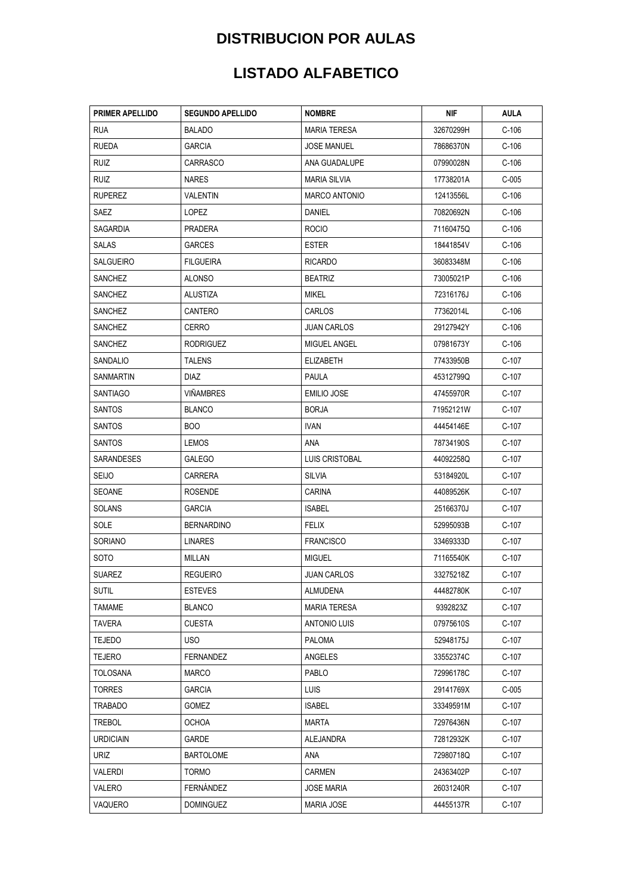| <b>PRIMER APELLIDO</b> | <b>SEGUNDO APELLIDO</b> | <b>NOMBRE</b>        | NIF       | AULA    |
|------------------------|-------------------------|----------------------|-----------|---------|
| <b>RUA</b>             | <b>BALADO</b>           | <b>MARIA TERESA</b>  | 32670299H | $C-106$ |
| <b>RUEDA</b>           | <b>GARCIA</b>           | <b>JOSE MANUEL</b>   | 78686370N | $C-106$ |
| RUIZ                   | <b>CARRASCO</b>         | ANA GUADALUPE        | 07990028N | $C-106$ |
| RUIZ                   | <b>NARES</b>            | MARIA SILVIA         | 17738201A | $C-005$ |
| <b>RUPEREZ</b>         | <b>VALENTIN</b>         | <b>MARCO ANTONIO</b> | 12413556L | $C-106$ |
| SAEZ                   | <b>LOPEZ</b>            | DANIEL               | 70820692N | $C-106$ |
| SAGARDIA               | PRADERA                 | <b>ROCIO</b>         | 71160475Q | $C-106$ |
| SALAS                  | <b>GARCES</b>           | <b>ESTER</b>         | 18441854V | $C-106$ |
| <b>SALGUEIRO</b>       | <b>FILGUEIRA</b>        | <b>RICARDO</b>       | 36083348M | $C-106$ |
| SANCHEZ                | ALONSO                  | <b>BEATRIZ</b>       | 73005021P | $C-106$ |
| SANCHEZ                | ALUSTIZA                | MIKEL                | 72316176J | $C-106$ |
| SANCHEZ                | CANTERO                 | <b>CARLOS</b>        | 77362014L | $C-106$ |
| SANCHEZ                | CERRO                   | <b>JUAN CARLOS</b>   | 29127942Y | $C-106$ |
| SANCHEZ                | <b>RODRIGUEZ</b>        | MIGUEL ANGEL         | 07981673Y | $C-106$ |
| SANDALIO               | <b>TALENS</b>           | ELIZABETH            | 77433950B | $C-107$ |
| SANMARTIN              | <b>DIAZ</b>             | <b>PAULA</b>         | 45312799Q | $C-107$ |
| SANTIAGO               | <b>VIÑAMBRES</b>        | EMILIO JOSE          | 47455970R | C-107   |
| SANTOS                 | <b>BLANCO</b>           | <b>BORJA</b>         | 71952121W | C-107   |
| <b>SANTOS</b>          | BOO                     | <b>IVAN</b>          | 44454146E | $C-107$ |
| SANTOS                 | <b>LEMOS</b>            | ana                  | 78734190S | C-107   |
| SARANDESES             | <b>GALEGO</b>           | LUIS CRISTOBAL       | 44092258Q | $C-107$ |
| <b>SEIJO</b>           | CARRERA                 | SILVIA               | 53184920L | $C-107$ |
| SEOANE                 | <b>ROSENDE</b>          | <b>CARINA</b>        | 44089526K | C-107   |
| <b>SOLANS</b>          | <b>GARCIA</b>           | <b>ISABEL</b>        | 25166370J | $C-107$ |
| SOLE                   | <b>BERNARDINO</b>       | FELIX                | 52995093B | $C-107$ |
| SORIANO                | <b>LINARES</b>          | <b>FRANCISCO</b>     | 33469333D | $C-107$ |
| SOTO                   | MILLAN                  | <b>MIGUEL</b>        | 71165540K | $C-107$ |
| <b>SUAREZ</b>          | <b>REGUEIRO</b>         | JUAN CARLOS          | 33275218Z | $C-107$ |
| <b>SUTIL</b>           | <b>ESTEVES</b>          | ALMUDENA             | 44482780K | $C-107$ |
| <b>TAMAME</b>          | <b>BLANCO</b>           | <b>MARIA TERESA</b>  | 9392823Z  | $C-107$ |
| <b>TAVERA</b>          | <b>CUESTA</b>           | ANTONIO LUIS         | 07975610S | $C-107$ |
| <b>TEJEDO</b>          | USO.                    | PALOMA               | 52948175J | C-107   |
| <b>TEJERO</b>          | <b>FERNANDEZ</b>        | ANGELES              | 33552374C | C-107   |
| TOLOSANA               | <b>MARCO</b>            | PABLO                | 72996178C | C-107   |
| TORRES                 | GARCIA                  | LUIS.                | 29141769X | $C-005$ |
| TRABADO                | GOMEZ                   | <b>ISABEL</b>        | 33349591M | $C-107$ |
| <b>TREBOL</b>          | OCHOA                   | <b>MARTA</b>         | 72976436N | C-107   |
| URDICIAIN              | GARDE                   | ALEJANDRA            | 72812932K | $C-107$ |
| URIZ                   | <b>BARTOLOME</b>        | ana                  | 72980718Q | C-107   |
| VALERDI                | <b>TORMO</b>            | CARMEN               | 24363402P | C-107   |
| VALERO                 | FERNANDEZ               | JOSE MARIA           | 26031240R | $C-107$ |
| VAQUERO                | <b>DOMINGUEZ</b>        | <b>MARIA JOSE</b>    | 44455137R | $C-107$ |